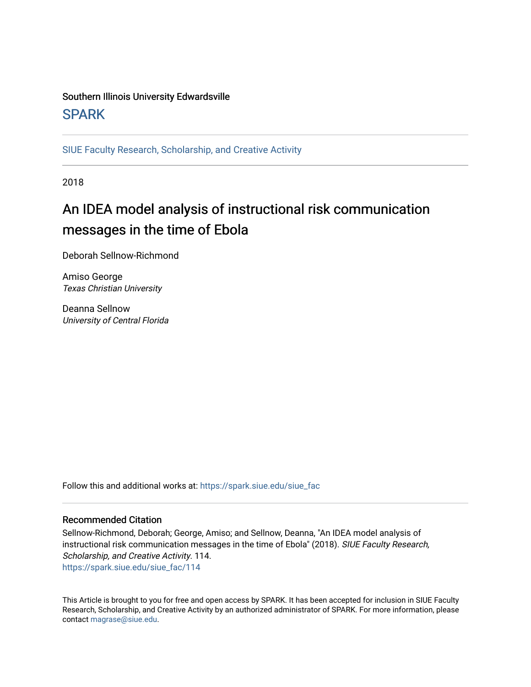# Southern Illinois University Edwardsville **SPARK**

[SIUE Faculty Research, Scholarship, and Creative Activity](https://spark.siue.edu/siue_fac) 

2018

# An IDEA model analysis of instructional risk communication messages in the time of Ebola

Deborah Sellnow-Richmond

Amiso George Texas Christian University

Deanna Sellnow University of Central Florida

Follow this and additional works at: [https://spark.siue.edu/siue\\_fac](https://spark.siue.edu/siue_fac?utm_source=spark.siue.edu%2Fsiue_fac%2F114&utm_medium=PDF&utm_campaign=PDFCoverPages)

## Recommended Citation

Sellnow-Richmond, Deborah; George, Amiso; and Sellnow, Deanna, "An IDEA model analysis of instructional risk communication messages in the time of Ebola" (2018). SIUE Faculty Research, Scholarship, and Creative Activity. 114. [https://spark.siue.edu/siue\\_fac/114](https://spark.siue.edu/siue_fac/114?utm_source=spark.siue.edu%2Fsiue_fac%2F114&utm_medium=PDF&utm_campaign=PDFCoverPages)

This Article is brought to you for free and open access by SPARK. It has been accepted for inclusion in SIUE Faculty Research, Scholarship, and Creative Activity by an authorized administrator of SPARK. For more information, please contact [magrase@siue.edu](mailto:magrase@siue.edu).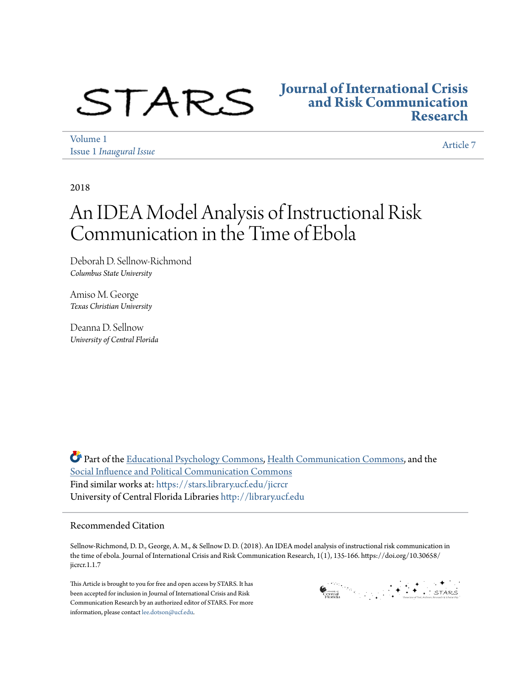

## **[Journal of International Crisis](https://stars.library.ucf.edu/jicrcr?utm_source=stars.library.ucf.edu%2Fjicrcr%2Fvol1%2Fiss1%2F7&utm_medium=PDF&utm_campaign=PDFCoverPages) [and Risk Communication](https://stars.library.ucf.edu/jicrcr?utm_source=stars.library.ucf.edu%2Fjicrcr%2Fvol1%2Fiss1%2F7&utm_medium=PDF&utm_campaign=PDFCoverPages) [Research](https://stars.library.ucf.edu/jicrcr?utm_source=stars.library.ucf.edu%2Fjicrcr%2Fvol1%2Fiss1%2F7&utm_medium=PDF&utm_campaign=PDFCoverPages)**

[Volume 1](https://stars.library.ucf.edu/jicrcr/vol1?utm_source=stars.library.ucf.edu%2Fjicrcr%2Fvol1%2Fiss1%2F7&utm_medium=PDF&utm_campaign=PDFCoverPages) Issue 1 *[Inaugural Issue](https://stars.library.ucf.edu/jicrcr/vol1/iss1?utm_source=stars.library.ucf.edu%2Fjicrcr%2Fvol1%2Fiss1%2F7&utm_medium=PDF&utm_campaign=PDFCoverPages)*

[Article 7](https://stars.library.ucf.edu/jicrcr/vol1/iss1/7?utm_source=stars.library.ucf.edu%2Fjicrcr%2Fvol1%2Fiss1%2F7&utm_medium=PDF&utm_campaign=PDFCoverPages)

2018

# An IDEA Model Analysis of Instructional Risk Communication in the Time of Ebola

Deborah D. Sellnow-Richmond *Columbus State University*

Amiso M. George *Texas Christian University*

Deanna D. Sellnow *University of Central Florida*

Part of the [Educational Psychology Commons,](http://network.bepress.com/hgg/discipline/798?utm_source=stars.library.ucf.edu%2Fjicrcr%2Fvol1%2Fiss1%2F7&utm_medium=PDF&utm_campaign=PDFCoverPages) [Health Communication Commons,](http://network.bepress.com/hgg/discipline/330?utm_source=stars.library.ucf.edu%2Fjicrcr%2Fvol1%2Fiss1%2F7&utm_medium=PDF&utm_campaign=PDFCoverPages) and the [Social Influence and Political Communication Commons](http://network.bepress.com/hgg/discipline/337?utm_source=stars.library.ucf.edu%2Fjicrcr%2Fvol1%2Fiss1%2F7&utm_medium=PDF&utm_campaign=PDFCoverPages) Find similar works at: <https://stars.library.ucf.edu/jicrcr> University of Central Florida Libraries <http://library.ucf.edu>

## Recommended Citation

Sellnow-Richmond, D. D., George, A. M., & Sellnow D. D. (2018). An IDEA model analysis of instructional risk communication in the time of ebola. Journal of International Crisis and Risk Communication Research, 1(1), 135-166. https://doi.org/10.30658/ jicrcr.1.1.7

This Article is brought to you for free and open access by STARS. It has been accepted for inclusion in Journal of International Crisis and Risk Communication Research by an authorized editor of STARS. For more information, please contact [lee.dotson@ucf.edu.](mailto:lee.dotson@ucf.edu)

Grands of the second stress of the second stress of the second stress of the second stress of the second stress of the second stress of the second stress of the second stress of the second stress of the second stress of th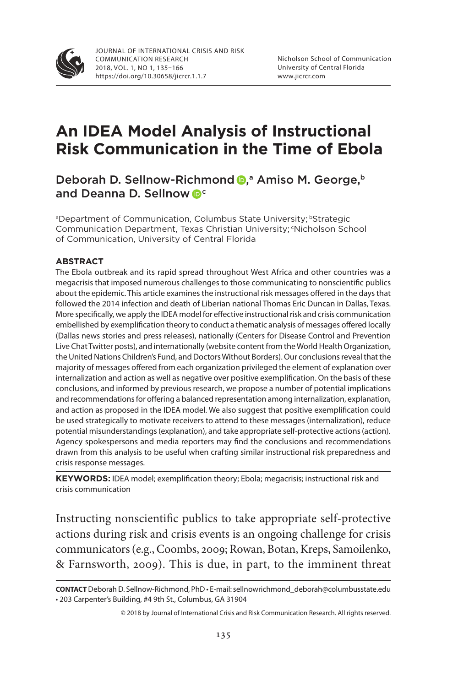

# **An IDEA Model Analysis of Instructional Risk Communication in the Time of Ebola**

Deborah D. Sellnow-Richmond D,<sup>a</sup> Amiso M. George,<sup>b</sup> and Deanna D. Sellnow <sup>oc</sup>

aDepartment of Communication, Columbus State University; bStrategic Communication Department, Texas Christian University; <sup>c</sup>Nicholson School of Communication, University of Central Florida

#### **ABSTRACT**

The Ebola outbreak and its rapid spread throughout West Africa and other countries was a megacrisis that imposed numerous challenges to those communicating to nonscientific publics about the epidemic. This article examines the instructional risk messages offered in the days that followed the 2014 infection and death of Liberian national Thomas Eric Duncan in Dallas, Texas. More specifically, we apply the IDEA model for effective instructional risk and crisis communication embellished by exemplification theory to conduct a thematic analysis of messages offered locally (Dallas news stories and press releases), nationally (Centers for Disease Control and Prevention Live Chat Twitter posts), and internationally (website content from the World Health Organization, the United Nations Children's Fund, and Doctors Without Borders). Our conclusions reveal that the majority of messages offered from each organization privileged the element of explanation over internalization and action as well as negative over positive exemplification. On the basis of these conclusions, and informed by previous research, we propose a number of potential implications and recommendations for offering a balanced representation among internalization, explanation, and action as proposed in the IDEA model. We also suggest that positive exemplification could be used strategically to motivate receivers to attend to these messages (internalization), reduce potential misunderstandings (explanation), and take appropriate self-protective actions (action). Agency spokespersons and media reporters may find the conclusions and recommendations drawn from this analysis to be useful when crafting similar instructional risk preparedness and crisis response messages.

KEYWORDS: IDEA model; exemplification theory; Ebola; megacrisis; instructional risk and crisis communication

Instructing nonscientific publics to take appropriate self-protective actions during risk and crisis events is an ongoing challenge for crisis communicators (e.g., Coombs, 2009; Rowan, Botan, Kreps, Samoilenko, & Farnsworth, 2009). This is due, in part, to the imminent threat

**CONTACT**Deborah D. Sellnow-Richmond, PhD • E-mail: sellnowrichmond\_deborah@columbusstate.edu • 203 Carpenter's Building, #4 9th St., Columbus, GA 31904

<sup>© 2018</sup> by Journal of International Crisis and Risk Communication Research. All rights reserved.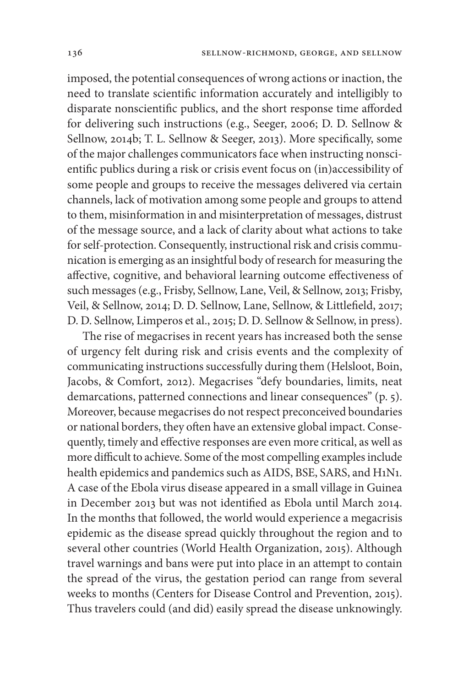imposed, the potential consequences of wrong actions or inaction, the need to translate scientific information accurately and intelligibly to disparate nonscientific publics, and the short response time afforded for delivering such instructions (e.g., Seeger, 2006; D. D. Sellnow & Sellnow, 2014b; T. L. Sellnow & Seeger, 2013). More specifically, some of the major challenges communicators face when instructing nonscientific publics during a risk or crisis event focus on (in)accessibility of some people and groups to receive the messages delivered via certain channels, lack of motivation among some people and groups to attend to them, misinformation in and misinterpretation of messages, distrust of the message source, and a lack of clarity about what actions to take for self-protection. Consequently, instructional risk and crisis communication is emerging as an insightful body of research for measuring the affective, cognitive, and behavioral learning outcome effectiveness of such messages (e.g., Frisby, Sellnow, Lane, Veil, & Sellnow, 2013; Frisby, Veil, & Sellnow, 2014; D. D. Sellnow, Lane, Sellnow, & Littlefield, 2017; D. D. Sellnow, Limperos et al., 2015; D. D. Sellnow & Sellnow, in press).

The rise of megacrises in recent years has increased both the sense of urgency felt during risk and crisis events and the complexity of communicating instructions successfully during them (Helsloot, Boin, Jacobs, & Comfort, 2012). Megacrises "defy boundaries, limits, neat demarcations, patterned connections and linear consequences" (p. 5). Moreover, because megacrises do not respect preconceived boundaries or national borders, they often have an extensive global impact. Consequently, timely and effective responses are even more critical, as well as more difficult to achieve. Some of the most compelling examples include health epidemics and pandemics such as AIDS, BSE, SARS, and H1N1. A case of the Ebola virus disease appeared in a small village in Guinea in December 2013 but was not identified as Ebola until March 2014. In the months that followed, the world would experience a megacrisis epidemic as the disease spread quickly throughout the region and to several other countries (World Health Organization, 2015). Although travel warnings and bans were put into place in an attempt to contain the spread of the virus, the gestation period can range from several weeks to months (Centers for Disease Control and Prevention, 2015). Thus travelers could (and did) easily spread the disease unknowingly.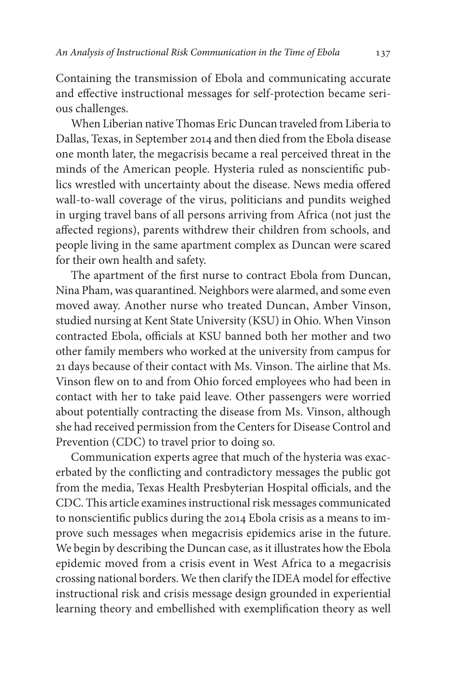Containing the transmission of Ebola and communicating accurate and effective instructional messages for self-protection became serious challenges.

When Liberian native Thomas Eric Duncan traveled from Liberia to Dallas, Texas, in September 2014 and then died from the Ebola disease one month later, the megacrisis became a real perceived threat in the minds of the American people. Hysteria ruled as nonscientific publics wrestled with uncertainty about the disease. News media offered wall-to-wall coverage of the virus, politicians and pundits weighed in urging travel bans of all persons arriving from Africa (not just the affected regions), parents withdrew their children from schools, and people living in the same apartment complex as Duncan were scared for their own health and safety.

The apartment of the first nurse to contract Ebola from Duncan, Nina Pham, was quarantined. Neighbors were alarmed, and some even moved away. Another nurse who treated Duncan, Amber Vinson, studied nursing at Kent State University (KSU) in Ohio. When Vinson contracted Ebola, officials at KSU banned both her mother and two other family members who worked at the university from campus for 21 days because of their contact with Ms. Vinson. The airline that Ms. Vinson flew on to and from Ohio forced employees who had been in contact with her to take paid leave. Other passengers were worried about potentially contracting the disease from Ms. Vinson, although she had received permission from the Centers for Disease Control and Prevention (CDC) to travel prior to doing so.

Communication experts agree that much of the hysteria was exacerbated by the conflicting and contradictory messages the public got from the media, Texas Health Presbyterian Hospital officials, and the CDC. This article examines instructional risk messages communicated to nonscientific publics during the 2014 Ebola crisis as a means to improve such messages when megacrisis epidemics arise in the future. We begin by describing the Duncan case, as it illustrates how the Ebola epidemic moved from a crisis event in West Africa to a megacrisis crossing national borders. We then clarify the IDEA model for effective instructional risk and crisis message design grounded in experiential learning theory and embellished with exemplification theory as well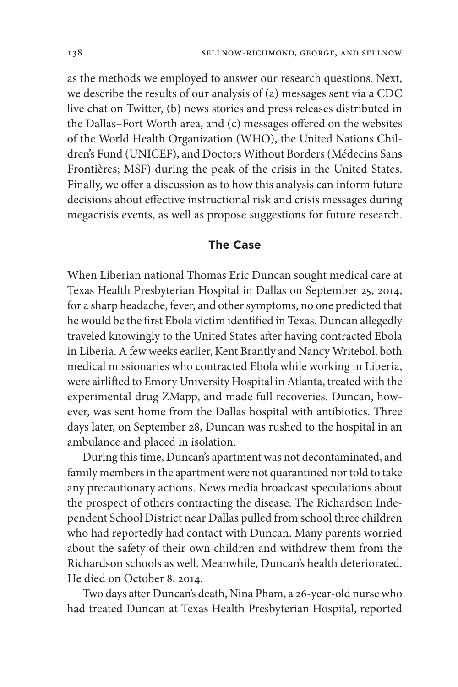as the methods we employed to answer our research questions. Next, we describe the results of our analysis of (a) messages sent via a CDC live chat on Twitter, (b) news stories and press releases distributed in the Dallas–Fort Worth area, and (c) messages offered on the websites of the World Health Organization (WHO), the United Nations Children's Fund (UNICEF), and Doctors Without Borders (Médecins Sans Frontières; MSF) during the peak of the crisis in the United States. Finally, we offer a discussion as to how this analysis can inform future decisions about effective instructional risk and crisis messages during megacrisis events, as well as propose suggestions for future research.

## **The Case**

When Liberian national Thomas Eric Duncan sought medical care at Texas Health Presbyterian Hospital in Dallas on September 25, 2014, for a sharp headache, fever, and other symptoms, no one predicted that he would be the first Ebola victim identified in Texas. Duncan allegedly traveled knowingly to the United States after having contracted Ebola in Liberia. A few weeks earlier, Kent Brantly and Nancy Writebol, both medical missionaries who contracted Ebola while working in Liberia, were airlifted to Emory University Hospital in Atlanta, treated with the experimental drug ZMapp, and made full recoveries. Duncan, however, was sent home from the Dallas hospital with antibiotics. Three days later, on September 28, Duncan was rushed to the hospital in an ambulance and placed in isolation.

During this time, Duncan's apartment was not decontaminated, and family members in the apartment were not quarantined nor told to take any precautionary actions. News media broadcast speculations about the prospect of others contracting the disease. The Richardson Independent School District near Dallas pulled from school three children who had reportedly had contact with Duncan. Many parents worried about the safety of their own children and withdrew them from the Richardson schools as well. Meanwhile, Duncan's health deteriorated. He died on October 8, 2014.

Two days after Duncan's death, Nina Pham, a 26-year-old nurse who had treated Duncan at Texas Health Presbyterian Hospital, reported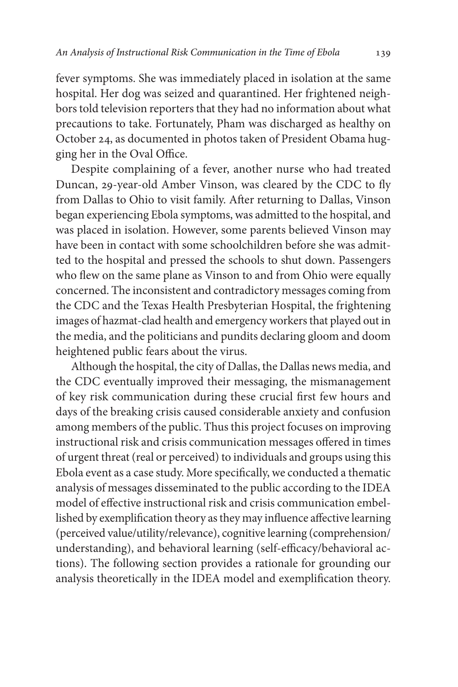fever symptoms. She was immediately placed in isolation at the same hospital. Her dog was seized and quarantined. Her frightened neighbors told television reporters that they had no information about what precautions to take. Fortunately, Pham was discharged as healthy on October 24, as documented in photos taken of President Obama hugging her in the Oval Office.

Despite complaining of a fever, another nurse who had treated Duncan, 29-year-old Amber Vinson, was cleared by the CDC to fly from Dallas to Ohio to visit family. After returning to Dallas, Vinson began experiencing Ebola symptoms, was admitted to the hospital, and was placed in isolation. However, some parents believed Vinson may have been in contact with some schoolchildren before she was admitted to the hospital and pressed the schools to shut down. Passengers who flew on the same plane as Vinson to and from Ohio were equally concerned. The inconsistent and contradictory messages coming from the CDC and the Texas Health Presbyterian Hospital, the frightening images of hazmat-clad health and emergency workers that played out in the media, and the politicians and pundits declaring gloom and doom heightened public fears about the virus.

Although the hospital, the city of Dallas, the Dallas news media, and the CDC eventually improved their messaging, the mismanagement of key risk communication during these crucial first few hours and days of the breaking crisis caused considerable anxiety and confusion among members of the public. Thus this project focuses on improving instructional risk and crisis communication messages offered in times of urgent threat (real or perceived) to individuals and groups using this Ebola event as a case study. More specifically, we conducted a thematic analysis of messages disseminated to the public according to the IDEA model of effective instructional risk and crisis communication embellished by exemplification theory as they may influence affective learning (perceived value/utility/relevance), cognitive learning (comprehension/ understanding), and behavioral learning (self-efficacy/behavioral actions). The following section provides a rationale for grounding our analysis theoretically in the IDEA model and exemplification theory.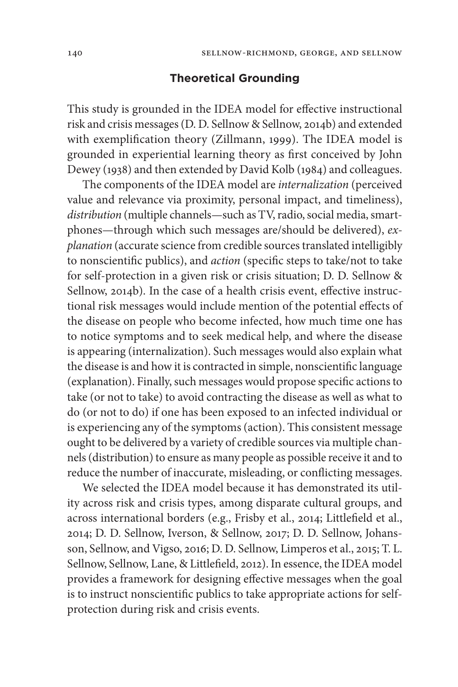#### **Theoretical Grounding**

This study is grounded in the IDEA model for effective instructional risk and crisis messages (D. D. Sellnow & Sellnow, 2014b) and extended with exemplification theory (Zillmann, 1999). The IDEA model is grounded in experiential learning theory as first conceived by John Dewey (1938) and then extended by David Kolb (1984) and colleagues.

The components of the IDEA model are *internalization* (perceived value and relevance via proximity, personal impact, and timeliness), *distribution* (multiple channels—such as TV, radio, social media, smartphones—through which such messages are/should be delivered), *explanation* (accurate science from credible sources translated intelligibly to nonscientific publics), and *action* (specific steps to take/not to take for self-protection in a given risk or crisis situation; D. D. Sellnow & Sellnow, 2014b). In the case of a health crisis event, effective instructional risk messages would include mention of the potential effects of the disease on people who become infected, how much time one has to notice symptoms and to seek medical help, and where the disease is appearing (internalization). Such messages would also explain what the disease is and how it is contracted in simple, nonscientific language (explanation). Finally, such messages would propose specific actions to take (or not to take) to avoid contracting the disease as well as what to do (or not to do) if one has been exposed to an infected individual or is experiencing any of the symptoms (action). This consistent message ought to be delivered by a variety of credible sources via multiple channels (distribution) to ensure as many people as possible receive it and to reduce the number of inaccurate, misleading, or conflicting messages.

We selected the IDEA model because it has demonstrated its utility across risk and crisis types, among disparate cultural groups, and across international borders (e.g., Frisby et al., 2014; Littlefield et al., 2014; D. D. Sellnow, Iverson, & Sellnow, 2017; D. D. Sellnow, Johansson, Sellnow, and Vigso, 2016; D. D. Sellnow, Limperos et al., 2015; T. L. Sellnow, Sellnow, Lane, & Littlefield, 2012). In essence, the IDEA model provides a framework for designing effective messages when the goal is to instruct nonscientific publics to take appropriate actions for selfprotection during risk and crisis events.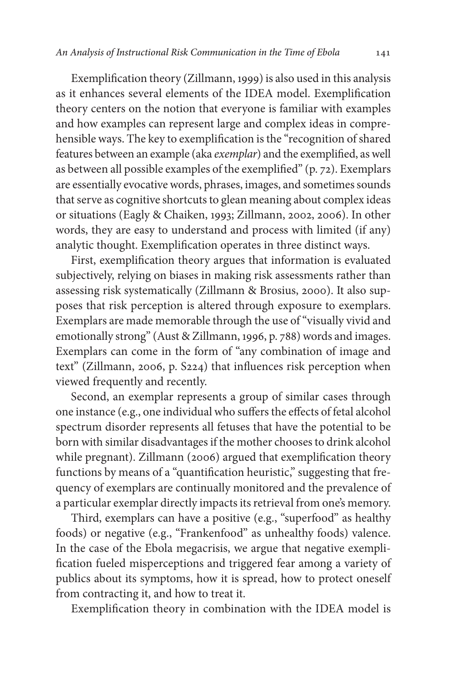Exemplification theory (Zillmann, 1999) is also used in this analysis as it enhances several elements of the IDEA model. Exemplification theory centers on the notion that everyone is familiar with examples and how examples can represent large and complex ideas in comprehensible ways. The key to exemplification is the "recognition of shared features between an example (aka *exemplar*) and the exemplified, as well as between all possible examples of the exemplified" (p. 72). Exemplars are essentially evocative words, phrases, images, and sometimes sounds that serve as cognitive shortcuts to glean meaning about complex ideas or situations (Eagly & Chaiken, 1993; Zillmann, 2002, 2006). In other words, they are easy to understand and process with limited (if any) analytic thought. Exemplification operates in three distinct ways.

First, exemplification theory argues that information is evaluated subjectively, relying on biases in making risk assessments rather than assessing risk systematically (Zillmann & Brosius, 2000). It also supposes that risk perception is altered through exposure to exemplars. Exemplars are made memorable through the use of "visually vivid and emotionally strong" (Aust & Zillmann, 1996, p. 788) words and images. Exemplars can come in the form of "any combination of image and text" (Zillmann, 2006, p. S224) that influences risk perception when viewed frequently and recently.

Second, an exemplar represents a group of similar cases through one instance (e.g., one individual who suffers the effects of fetal alcohol spectrum disorder represents all fetuses that have the potential to be born with similar disadvantages if the mother chooses to drink alcohol while pregnant). Zillmann (2006) argued that exemplification theory functions by means of a "quantification heuristic," suggesting that frequency of exemplars are continually monitored and the prevalence of a particular exemplar directly impacts its retrieval from one's memory.

Third, exemplars can have a positive (e.g., "superfood" as healthy foods) or negative (e.g., "Frankenfood" as unhealthy foods) valence. In the case of the Ebola megacrisis, we argue that negative exemplification fueled misperceptions and triggered fear among a variety of publics about its symptoms, how it is spread, how to protect oneself from contracting it, and how to treat it.

Exemplification theory in combination with the IDEA model is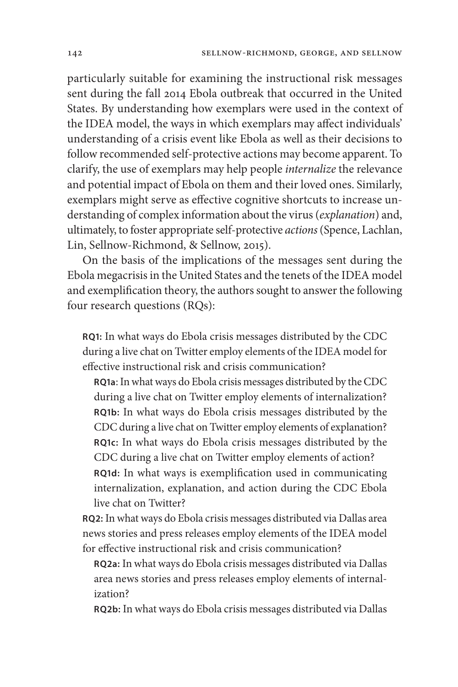particularly suitable for examining the instructional risk messages sent during the fall 2014 Ebola outbreak that occurred in the United States. By understanding how exemplars were used in the context of the IDEA model, the ways in which exemplars may affect individuals' understanding of a crisis event like Ebola as well as their decisions to follow recommended self-protective actions may become apparent. To clarify, the use of exemplars may help people *internalize* the relevance and potential impact of Ebola on them and their loved ones. Similarly, exemplars might serve as effective cognitive shortcuts to increase understanding of complex information about the virus (*explanation*) and, ultimately, to foster appropriate self-protective *actions* (Spence, Lachlan, Lin, Sellnow-Richmond, & Sellnow, 2015).

On the basis of the implications of the messages sent during the Ebola megacrisis in the United States and the tenets of the IDEA model and exemplification theory, the authors sought to answer the following four research questions (RQs):

**RQ1:** In what ways do Ebola crisis messages distributed by the CDC during a live chat on Twitter employ elements of the IDEA model for effective instructional risk and crisis communication?

**RQ1a**: In what ways do Ebola crisis messages distributed by the CDC during a live chat on Twitter employ elements of internalization? **RQ1b:** In what ways do Ebola crisis messages distributed by the CDC during a live chat on Twitter employ elements of explanation? **RQ1c:** In what ways do Ebola crisis messages distributed by the CDC during a live chat on Twitter employ elements of action? **RQ1d:** In what ways is exemplification used in communicating internalization, explanation, and action during the CDC Ebola live chat on Twitter?

**RQ2:** In what ways do Ebola crisis messages distributed via Dallas area news stories and press releases employ elements of the IDEA model for effective instructional risk and crisis communication?

**RQ2a:** In what ways do Ebola crisis messages distributed via Dallas area news stories and press releases employ elements of internalization?

**RQ2b:** In what ways do Ebola crisis messages distributed via Dallas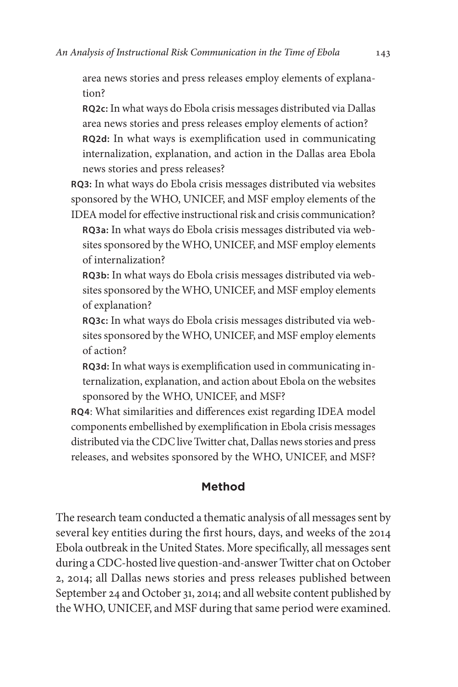area news stories and press releases employ elements of explanation?

**RQ2c:** In what ways do Ebola crisis messages distributed via Dallas area news stories and press releases employ elements of action? **RQ2d:** In what ways is exemplification used in communicating internalization, explanation, and action in the Dallas area Ebola news stories and press releases?

**RQ3:** In what ways do Ebola crisis messages distributed via websites sponsored by the WHO, UNICEF, and MSF employ elements of the IDEA model for effective instructional risk and crisis communication?

**RQ3a:** In what ways do Ebola crisis messages distributed via websites sponsored by the WHO, UNICEF, and MSF employ elements of internalization?

**RQ3b:** In what ways do Ebola crisis messages distributed via websites sponsored by the WHO, UNICEF, and MSF employ elements of explanation?

**RQ3c:** In what ways do Ebola crisis messages distributed via websites sponsored by the WHO, UNICEF, and MSF employ elements of action?

**RQ3d:** In what ways is exemplification used in communicating internalization, explanation, and action about Ebola on the websites sponsored by the WHO, UNICEF, and MSF?

**RQ4**: What similarities and differences exist regarding IDEA model components embellished by exemplification in Ebola crisis messages distributed via the CDC live Twitter chat, Dallas news stories and press releases, and websites sponsored by the WHO, UNICEF, and MSF?

## **Method**

The research team conducted a thematic analysis of all messages sent by several key entities during the first hours, days, and weeks of the 2014 Ebola outbreak in the United States. More specifically, all messages sent during a CDC-hosted live question-and-answer Twitter chat on October 2, 2014; all Dallas news stories and press releases published between September 24 and October 31, 2014; and all website content published by the WHO, UNICEF, and MSF during that same period were examined.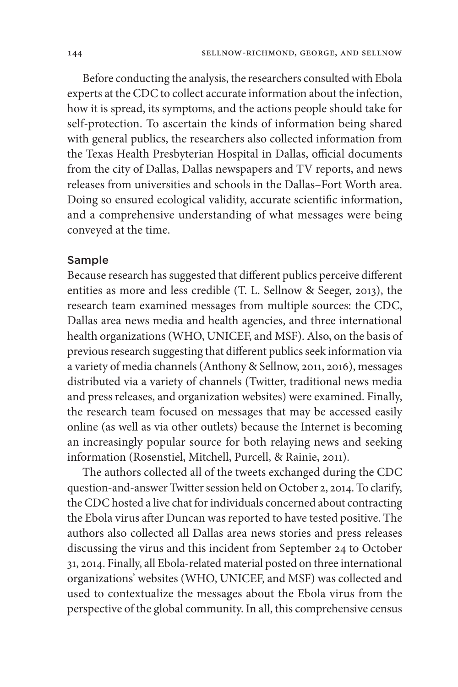Before conducting the analysis, the researchers consulted with Ebola experts at the CDC to collect accurate information about the infection, how it is spread, its symptoms, and the actions people should take for self-protection. To ascertain the kinds of information being shared with general publics, the researchers also collected information from the Texas Health Presbyterian Hospital in Dallas, official documents from the city of Dallas, Dallas newspapers and TV reports, and news releases from universities and schools in the Dallas–Fort Worth area. Doing so ensured ecological validity, accurate scientific information, and a comprehensive understanding of what messages were being conveyed at the time.

## Sample

Because research has suggested that different publics perceive different entities as more and less credible (T. L. Sellnow & Seeger, 2013), the research team examined messages from multiple sources: the CDC, Dallas area news media and health agencies, and three international health organizations (WHO, UNICEF, and MSF). Also, on the basis of previous research suggesting that different publics seek information via a variety of media channels (Anthony & Sellnow, 2011, 2016), messages distributed via a variety of channels (Twitter, traditional news media and press releases, and organization websites) were examined. Finally, the research team focused on messages that may be accessed easily online (as well as via other outlets) because the Internet is becoming an increasingly popular source for both relaying news and seeking information (Rosenstiel, Mitchell, Purcell, & Rainie, 2011).

The authors collected all of the tweets exchanged during the CDC question-and-answer Twitter session held on October 2, 2014. To clarify, the CDC hosted a live chat for individuals concerned about contracting the Ebola virus after Duncan was reported to have tested positive. The authors also collected all Dallas area news stories and press releases discussing the virus and this incident from September 24 to October 31, 2014. Finally, all Ebola-related material posted on three international organizations' websites (WHO, UNICEF, and MSF) was collected and used to contextualize the messages about the Ebola virus from the perspective of the global community. In all, this comprehensive census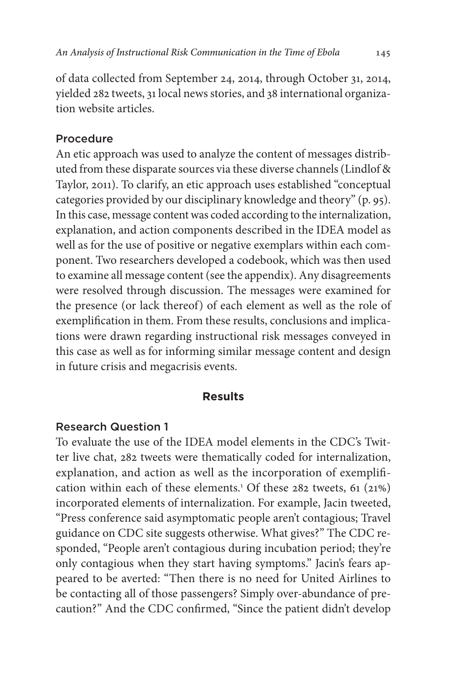of data collected from September 24, 2014, through October 31, 2014, yielded 282 tweets, 31 local news stories, and 38 international organization website articles.

## Procedure

An etic approach was used to analyze the content of messages distributed from these disparate sources via these diverse channels (Lindlof & Taylor, 2011). To clarify, an etic approach uses established "conceptual categories provided by our disciplinary knowledge and theory" (p. 95). In this case, message content was coded according to the internalization, explanation, and action components described in the IDEA model as well as for the use of positive or negative exemplars within each component. Two researchers developed a codebook, which was then used to examine all message content (see the appendix). Any disagreements were resolved through discussion. The messages were examined for the presence (or lack thereof) of each element as well as the role of exemplification in them. From these results, conclusions and implications were drawn regarding instructional risk messages conveyed in this case as well as for informing similar message content and design in future crisis and megacrisis events.

## **Results**

## Research Question 1

To evaluate the use of the IDEA model elements in the CDC's Twitter live chat, 282 tweets were thematically coded for internalization, explanation, and action as well as the incorporation of exemplification within each of these elements.<sup>1</sup> Of these 282 tweets, 61 (21%) incorporated elements of internalization. For example, Jacin tweeted, "Press conference said asymptomatic people aren't contagious; Travel guidance on CDC site suggests otherwise. What gives?" The CDC responded, "People aren't contagious during incubation period; they're only contagious when they start having symptoms." Jacin's fears appeared to be averted: "Then there is no need for United Airlines to be contacting all of those passengers? Simply over-abundance of precaution?" And the CDC confirmed, "Since the patient didn't develop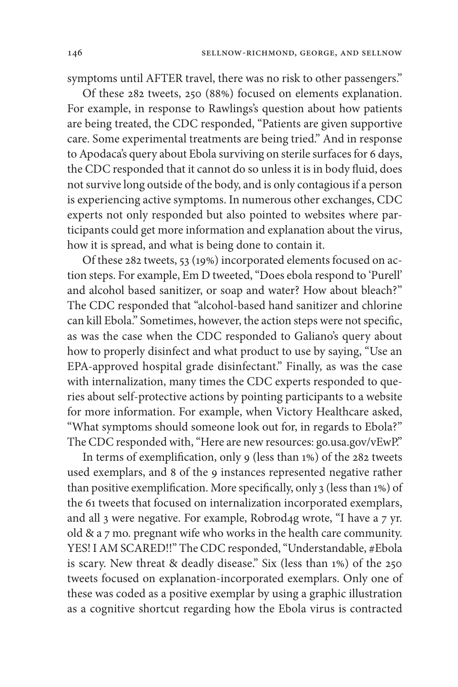symptoms until AFTER travel, there was no risk to other passengers."

Of these 282 tweets, 250 (88%) focused on elements explanation. For example, in response to Rawlings's question about how patients are being treated, the CDC responded, "Patients are given supportive care. Some experimental treatments are being tried." And in response to Apodaca's query about Ebola surviving on sterile surfaces for 6 days, the CDC responded that it cannot do so unless it is in body fluid, does not survive long outside of the body, and is only contagious if a person is experiencing active symptoms. In numerous other exchanges, CDC experts not only responded but also pointed to websites where participants could get more information and explanation about the virus, how it is spread, and what is being done to contain it.

Of these 282 tweets, 53 (19%) incorporated elements focused on action steps. For example, Em D tweeted, "Does ebola respond to 'Purell' and alcohol based sanitizer, or soap and water? How about bleach?" The CDC responded that "alcohol-based hand sanitizer and chlorine can kill Ebola." Sometimes, however, the action steps were not specific, as was the case when the CDC responded to Galiano's query about how to properly disinfect and what product to use by saying, "Use an EPA-approved hospital grade disinfectant." Finally, as was the case with internalization, many times the CDC experts responded to queries about self-protective actions by pointing participants to a website for more information. For example, when Victory Healthcare asked, "What symptoms should someone look out for, in regards to Ebola?" The CDC responded with, "Here are new resources: go.usa.gov/vEwP."

In terms of exemplification, only 9 (less than 1%) of the 282 tweets used exemplars, and 8 of the 9 instances represented negative rather than positive exemplification. More specifically, only 3 (less than 1%) of the 61 tweets that focused on internalization incorporated exemplars, and all 3 were negative. For example, Robrod4g wrote, "I have a 7 yr. old & a 7 mo. pregnant wife who works in the health care community. YES! I AM SCARED!!" The CDC responded, "Understandable, #Ebola is scary. New threat & deadly disease." Six (less than 1%) of the 250 tweets focused on explanation-incorporated exemplars. Only one of these was coded as a positive exemplar by using a graphic illustration as a cognitive shortcut regarding how the Ebola virus is contracted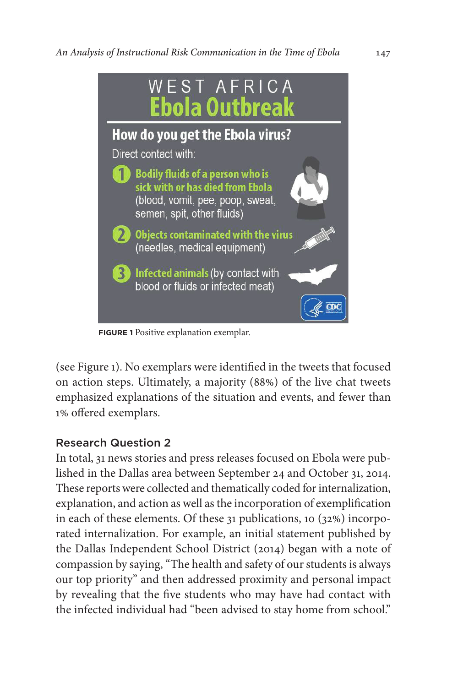

**FIGURE 1** Positive explanation exemplar.

(see Figure 1). No exemplars were identified in the tweets that focused on action steps. Ultimately, a majority (88%) of the live chat tweets emphasized explanations of the situation and events, and fewer than 1% offered exemplars.

## Research Question 2

In total, 31 news stories and press releases focused on Ebola were published in the Dallas area between September 24 and October 31, 2014. These reports were collected and thematically coded for internalization, explanation, and action as well as the incorporation of exemplification in each of these elements. Of these 31 publications, 10 (32%) incorporated internalization. For example, an initial statement published by the Dallas Independent School District (2014) began with a note of compassion by saying, "The health and safety of our students is always our top priority" and then addressed proximity and personal impact by revealing that the five students who may have had contact with the infected individual had "been advised to stay home from school."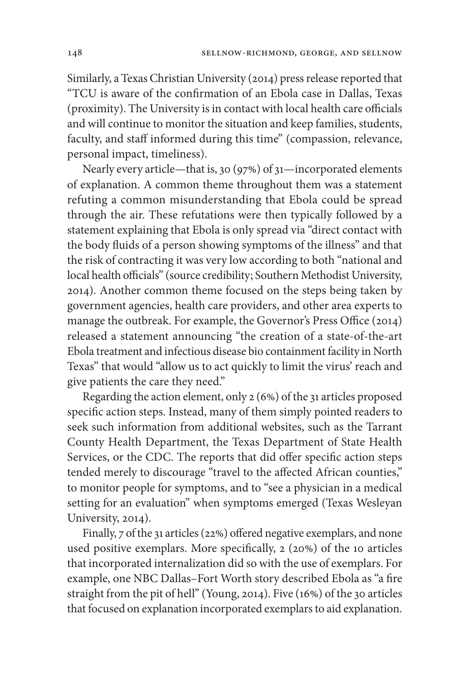Similarly, a Texas Christian University (2014) press release reported that "TCU is aware of the confirmation of an Ebola case in Dallas, Texas (proximity). The University is in contact with local health care officials and will continue to monitor the situation and keep families, students, faculty, and staff informed during this time" (compassion, relevance, personal impact, timeliness).

Nearly every article—that is, 30 (97%) of 31—incorporated elements of explanation. A common theme throughout them was a statement refuting a common misunderstanding that Ebola could be spread through the air. These refutations were then typically followed by a statement explaining that Ebola is only spread via "direct contact with the body fluids of a person showing symptoms of the illness" and that the risk of contracting it was very low according to both "national and local health officials" (source credibility; Southern Methodist University, 2014). Another common theme focused on the steps being taken by government agencies, health care providers, and other area experts to manage the outbreak. For example, the Governor's Press Office (2014) released a statement announcing "the creation of a state-of-the-art Ebola treatment and infectious disease bio containment facility in North Texas" that would "allow us to act quickly to limit the virus' reach and give patients the care they need."

Regarding the action element, only 2 (6%) of the 31 articles proposed specific action steps. Instead, many of them simply pointed readers to seek such information from additional websites, such as the Tarrant County Health Department, the Texas Department of State Health Services, or the CDC. The reports that did offer specific action steps tended merely to discourage "travel to the affected African counties," to monitor people for symptoms, and to "see a physician in a medical setting for an evaluation" when symptoms emerged (Texas Wesleyan University, 2014).

Finally, 7 of the 31 articles (22%) offered negative exemplars, and none used positive exemplars. More specifically, 2 (20%) of the 10 articles that incorporated internalization did so with the use of exemplars. For example, one NBC Dallas–Fort Worth story described Ebola as "a fire straight from the pit of hell" (Young, 2014). Five (16%) of the 30 articles that focused on explanation incorporated exemplars to aid explanation.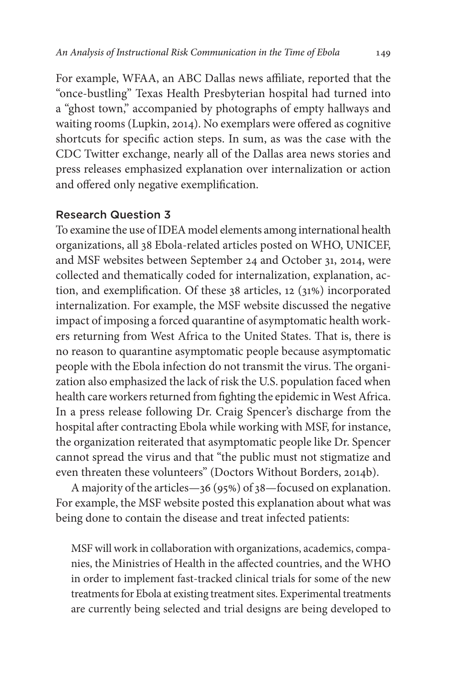For example, WFAA, an ABC Dallas news affiliate, reported that the "once-bustling" Texas Health Presbyterian hospital had turned into a "ghost town," accompanied by photographs of empty hallways and waiting rooms (Lupkin, 2014). No exemplars were offered as cognitive shortcuts for specific action steps. In sum, as was the case with the CDC Twitter exchange, nearly all of the Dallas area news stories and press releases emphasized explanation over internalization or action and offered only negative exemplification.

## Research Question 3

To examine the use of IDEA model elements among international health organizations, all 38 Ebola-related articles posted on WHO, UNICEF, and MSF websites between September 24 and October 31, 2014, were collected and thematically coded for internalization, explanation, action, and exemplification. Of these 38 articles, 12 (31%) incorporated internalization. For example, the MSF website discussed the negative impact of imposing a forced quarantine of asymptomatic health workers returning from West Africa to the United States. That is, there is no reason to quarantine asymptomatic people because asymptomatic people with the Ebola infection do not transmit the virus. The organization also emphasized the lack of risk the U.S. population faced when health care workers returned from fighting the epidemic in West Africa. In a press release following Dr. Craig Spencer's discharge from the hospital after contracting Ebola while working with MSF, for instance, the organization reiterated that asymptomatic people like Dr. Spencer cannot spread the virus and that "the public must not stigmatize and even threaten these volunteers" (Doctors Without Borders, 2014b).

A majority of the articles—36 (95%) of 38—focused on explanation. For example, the MSF website posted this explanation about what was being done to contain the disease and treat infected patients:

MSF will work in collaboration with organizations, academics, companies, the Ministries of Health in the affected countries, and the WHO in order to implement fast-tracked clinical trials for some of the new treatments for Ebola at existing treatment sites. Experimental treatments are currently being selected and trial designs are being developed to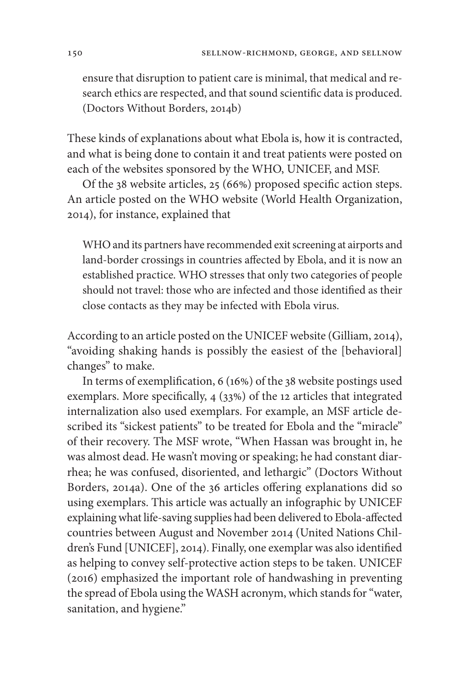ensure that disruption to patient care is minimal, that medical and research ethics are respected, and that sound scientific data is produced. (Doctors Without Borders, 2014b)

These kinds of explanations about what Ebola is, how it is contracted, and what is being done to contain it and treat patients were posted on each of the websites sponsored by the WHO, UNICEF, and MSF.

Of the 38 website articles, 25 (66%) proposed specific action steps. An article posted on the WHO website (World Health Organization, 2014), for instance, explained that

WHO and its partners have recommended exit screening at airports and land-border crossings in countries affected by Ebola, and it is now an established practice. WHO stresses that only two categories of people should not travel: those who are infected and those identified as their close contacts as they may be infected with Ebola virus.

According to an article posted on the UNICEF website (Gilliam, 2014), "avoiding shaking hands is possibly the easiest of the [behavioral] changes" to make.

In terms of exemplification, 6 (16%) of the 38 website postings used exemplars. More specifically, 4 (33%) of the 12 articles that integrated internalization also used exemplars. For example, an MSF article described its "sickest patients" to be treated for Ebola and the "miracle" of their recovery. The MSF wrote, "When Hassan was brought in, he was almost dead. He wasn't moving or speaking; he had constant diarrhea; he was confused, disoriented, and lethargic" (Doctors Without Borders, 2014a). One of the 36 articles offering explanations did so using exemplars. This article was actually an infographic by UNICEF explaining what life-saving supplies had been delivered to Ebola-affected countries between August and November 2014 (United Nations Children's Fund [UNICEF], 2014). Finally, one exemplar was also identified as helping to convey self-protective action steps to be taken. UNICEF (2016) emphasized the important role of handwashing in preventing the spread of Ebola using the WASH acronym, which stands for "water, sanitation, and hygiene."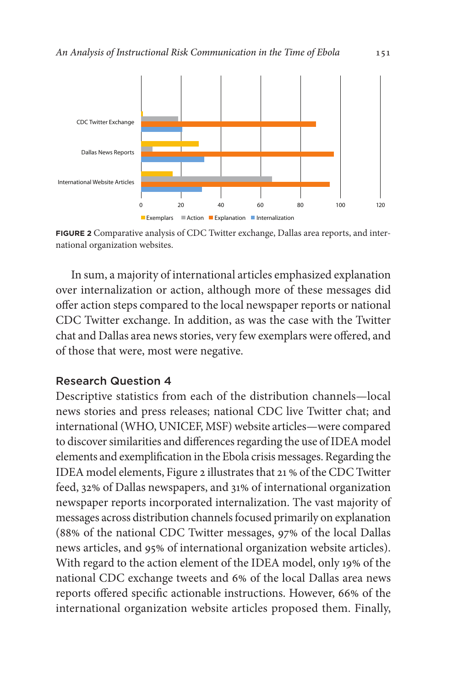

**FIGURE 2** Comparative analysis of CDC Twitter exchange, Dallas area reports, and international organization websites.

In sum, a majority of international articles emphasized explanation over internalization or action, although more of these messages did offer action steps compared to the local newspaper reports or national CDC Twitter exchange. In addition, as was the case with the Twitter chat and Dallas area news stories, very few exemplars were offered, and of those that were, most were negative.

## Research Question 4

Descriptive statistics from each of the distribution channels—local news stories and press releases; national CDC live Twitter chat; and international (WHO, UNICEF, MSF) website articles—were compared to discover similarities and differences regarding the use of IDEA model elements and exemplification in the Ebola crisis messages. Regarding the IDEA model elements, Figure 2 illustrates that 21 % of the CDC Twitter feed, 32% of Dallas newspapers, and 31% of international organization newspaper reports incorporated internalization. The vast majority of messages across distribution channels focused primarily on explanation (88% of the national CDC Twitter messages, 97% of the local Dallas news articles, and 95% of international organization website articles). With regard to the action element of the IDEA model, only 19% of the national CDC exchange tweets and 6% of the local Dallas area news reports offered specific actionable instructions. However, 66% of the international organization website articles proposed them. Finally,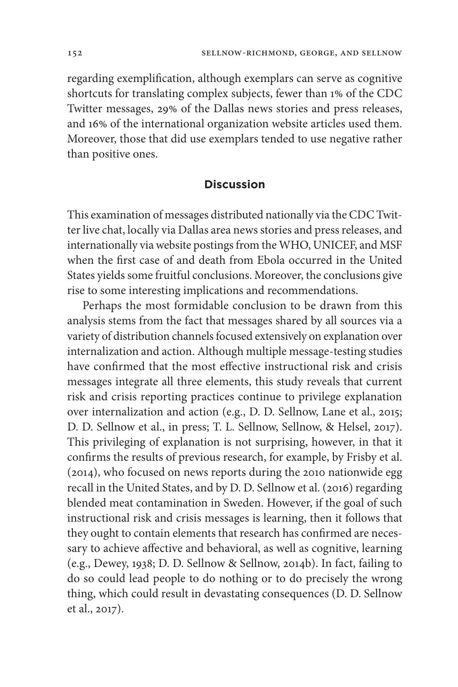regarding exemplification, although exemplars can serve as cognitive shortcuts for translating complex subjects, fewer than 1% of the CDC Twitter messages, 29% of the Dallas news stories and press releases, and 16% of the international organization website articles used them. Moreover, those that did use exemplars tended to use negative rather than positive ones.

### **Discussion**

This examination of messages distributed nationally via the CDC Twitter live chat, locally via Dallas area news stories and press releases, and internationally via website postings from the WHO, UNICEF, and MSF when the first case of and death from Ebola occurred in the United States yields some fruitful conclusions. Moreover, the conclusions give rise to some interesting implications and recommendations.

Perhaps the most formidable conclusion to be drawn from this analysis stems from the fact that messages shared by all sources via a variety of distribution channels focused extensively on explanation over internalization and action. Although multiple message-testing studies have confirmed that the most effective instructional risk and crisis messages integrate all three elements, this study reveals that current risk and crisis reporting practices continue to privilege explanation over internalization and action (e.g., D. D. Sellnow, Lane et al., 2015; D. D. Sellnow et al., in press; T. L. Sellnow, Sellnow, & Helsel, 2017). This privileging of explanation is not surprising, however, in that it confirms the results of previous research, for example, by Frisby et al. (2014), who focused on news reports during the 2010 nationwide egg recall in the United States, and by D. D. Sellnow et al. (2016) regarding blended meat contamination in Sweden. However, if the goal of such instructional risk and crisis messages is learning, then it follows that they ought to contain elements that research has confirmed are necessary to achieve affective and behavioral, as well as cognitive, learning (e.g., Dewey, 1938; D. D. Sellnow & Sellnow, 2014b). In fact, failing to do so could lead people to do nothing or to do precisely the wrong thing, which could result in devastating consequences (D. D. Sellnow et al., 2017).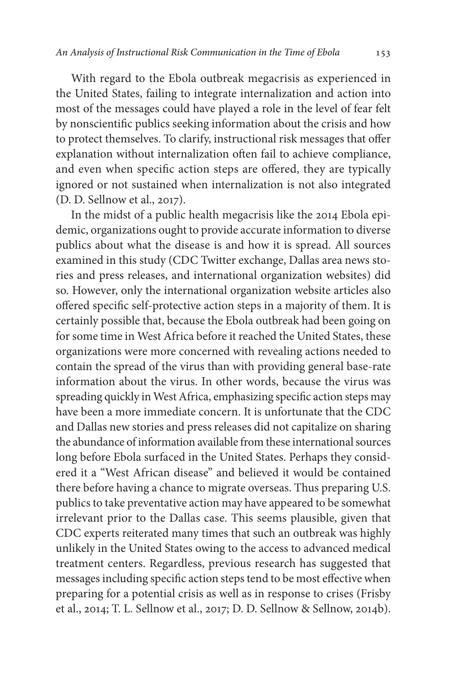With regard to the Ebola outbreak megacrisis as experienced in the United States, failing to integrate internalization and action into most of the messages could have played a role in the level of fear felt by nonscientific publics seeking information about the crisis and how to protect themselves. To clarify, instructional risk messages that offer explanation without internalization often fail to achieve compliance, and even when specific action steps are offered, they are typically ignored or not sustained when internalization is not also integrated (D. D. Sellnow et al., 2017).

In the midst of a public health megacrisis like the 2014 Ebola epidemic, organizations ought to provide accurate information to diverse publics about what the disease is and how it is spread. All sources examined in this study (CDC Twitter exchange, Dallas area news stories and press releases, and international organization websites) did so. However, only the international organization website articles also offered specific self-protective action steps in a majority of them. It is certainly possible that, because the Ebola outbreak had been going on for some time in West Africa before it reached the United States, these organizations were more concerned with revealing actions needed to contain the spread of the virus than with providing general base-rate information about the virus. In other words, because the virus was spreading quickly in West Africa, emphasizing specific action steps may have been a more immediate concern. It is unfortunate that the CDC and Dallas new stories and press releases did not capitalize on sharing the abundance of information available from these international sources long before Ebola surfaced in the United States. Perhaps they considered it a "West African disease" and believed it would be contained there before having a chance to migrate overseas. Thus preparing U.S. publics to take preventative action may have appeared to be somewhat irrelevant prior to the Dallas case. This seems plausible, given that CDC experts reiterated many times that such an outbreak was highly unlikely in the United States owing to the access to advanced medical treatment centers. Regardless, previous research has suggested that messages including specific action steps tend to be most effective when preparing for a potential crisis as well as in response to crises (Frisby et al., 2014; T. L. Sellnow et al., 2017; D. D. Sellnow & Sellnow, 2014b).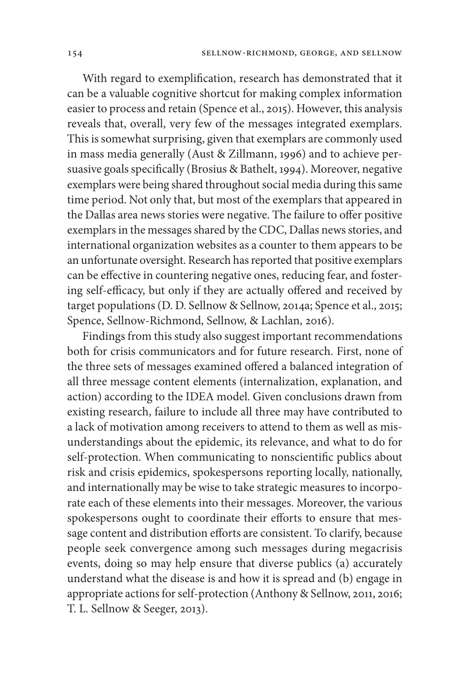With regard to exemplification, research has demonstrated that it can be a valuable cognitive shortcut for making complex information easier to process and retain (Spence et al., 2015). However, this analysis reveals that, overall, very few of the messages integrated exemplars. This is somewhat surprising, given that exemplars are commonly used in mass media generally (Aust & Zillmann, 1996) and to achieve persuasive goals specifically (Brosius & Bathelt, 1994). Moreover, negative exemplars were being shared throughout social media during this same time period. Not only that, but most of the exemplars that appeared in the Dallas area news stories were negative. The failure to offer positive exemplars in the messages shared by the CDC, Dallas news stories, and international organization websites as a counter to them appears to be an unfortunate oversight. Research has reported that positive exemplars can be effective in countering negative ones, reducing fear, and fostering self-efficacy, but only if they are actually offered and received by target populations (D. D. Sellnow & Sellnow, 2014a; Spence et al., 2015; Spence, Sellnow-Richmond, Sellnow, & Lachlan, 2016).

Findings from this study also suggest important recommendations both for crisis communicators and for future research. First, none of the three sets of messages examined offered a balanced integration of all three message content elements (internalization, explanation, and action) according to the IDEA model. Given conclusions drawn from existing research, failure to include all three may have contributed to a lack of motivation among receivers to attend to them as well as misunderstandings about the epidemic, its relevance, and what to do for self-protection. When communicating to nonscientific publics about risk and crisis epidemics, spokespersons reporting locally, nationally, and internationally may be wise to take strategic measures to incorporate each of these elements into their messages. Moreover, the various spokespersons ought to coordinate their efforts to ensure that message content and distribution efforts are consistent. To clarify, because people seek convergence among such messages during megacrisis events, doing so may help ensure that diverse publics (a) accurately understand what the disease is and how it is spread and (b) engage in appropriate actions for self-protection (Anthony & Sellnow, 2011, 2016; T. L. Sellnow & Seeger, 2013).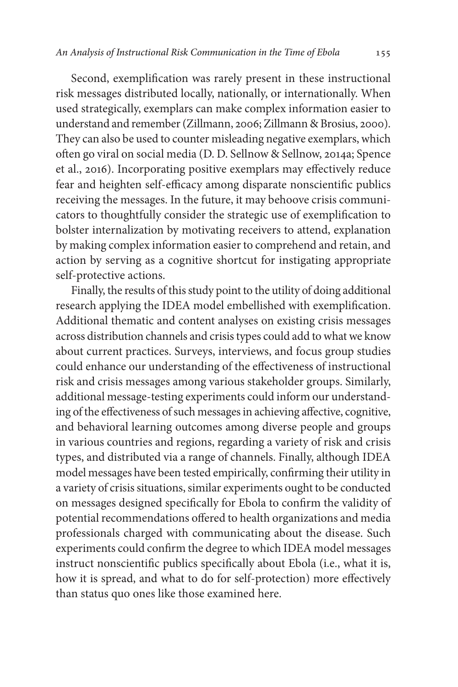Second, exemplification was rarely present in these instructional risk messages distributed locally, nationally, or internationally. When used strategically, exemplars can make complex information easier to understand and remember (Zillmann, 2006; Zillmann & Brosius, 2000). They can also be used to counter misleading negative exemplars, which often go viral on social media (D. D. Sellnow & Sellnow, 2014a; Spence et al., 2016). Incorporating positive exemplars may effectively reduce fear and heighten self-efficacy among disparate nonscientific publics receiving the messages. In the future, it may behoove crisis communicators to thoughtfully consider the strategic use of exemplification to bolster internalization by motivating receivers to attend, explanation by making complex information easier to comprehend and retain, and action by serving as a cognitive shortcut for instigating appropriate self-protective actions.

Finally, the results of this study point to the utility of doing additional research applying the IDEA model embellished with exemplification. Additional thematic and content analyses on existing crisis messages across distribution channels and crisis types could add to what we know about current practices. Surveys, interviews, and focus group studies could enhance our understanding of the effectiveness of instructional risk and crisis messages among various stakeholder groups. Similarly, additional message-testing experiments could inform our understanding of the effectiveness of such messages in achieving affective, cognitive, and behavioral learning outcomes among diverse people and groups in various countries and regions, regarding a variety of risk and crisis types, and distributed via a range of channels. Finally, although IDEA model messages have been tested empirically, confirming their utility in a variety of crisis situations, similar experiments ought to be conducted on messages designed specifically for Ebola to confirm the validity of potential recommendations offered to health organizations and media professionals charged with communicating about the disease. Such experiments could confirm the degree to which IDEA model messages instruct nonscientific publics specifically about Ebola (i.e., what it is, how it is spread, and what to do for self-protection) more effectively than status quo ones like those examined here.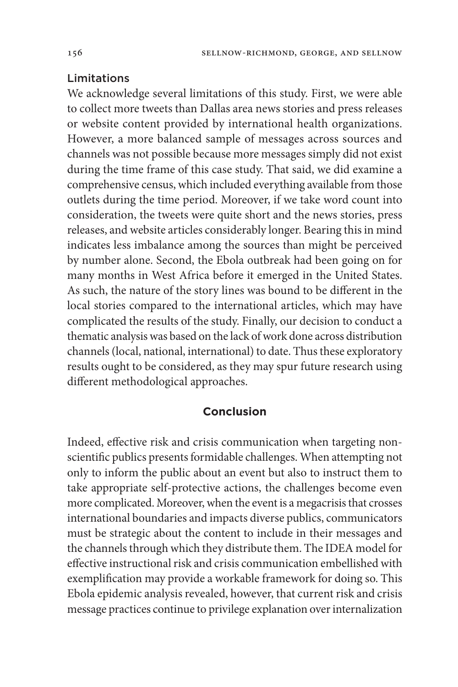## Limitations

We acknowledge several limitations of this study. First, we were able to collect more tweets than Dallas area news stories and press releases or website content provided by international health organizations. However, a more balanced sample of messages across sources and channels was not possible because more messages simply did not exist during the time frame of this case study. That said, we did examine a comprehensive census, which included everything available from those outlets during the time period. Moreover, if we take word count into consideration, the tweets were quite short and the news stories, press releases, and website articles considerably longer. Bearing this in mind indicates less imbalance among the sources than might be perceived by number alone. Second, the Ebola outbreak had been going on for many months in West Africa before it emerged in the United States. As such, the nature of the story lines was bound to be different in the local stories compared to the international articles, which may have complicated the results of the study. Finally, our decision to conduct a thematic analysis was based on the lack of work done across distribution channels (local, national, international) to date. Thus these exploratory results ought to be considered, as they may spur future research using different methodological approaches.

## **Conclusion**

Indeed, effective risk and crisis communication when targeting nonscientific publics presents formidable challenges. When attempting not only to inform the public about an event but also to instruct them to take appropriate self-protective actions, the challenges become even more complicated. Moreover, when the event is a megacrisis that crosses international boundaries and impacts diverse publics, communicators must be strategic about the content to include in their messages and the channels through which they distribute them. The IDEA model for effective instructional risk and crisis communication embellished with exemplification may provide a workable framework for doing so. This Ebola epidemic analysis revealed, however, that current risk and crisis message practices continue to privilege explanation over internalization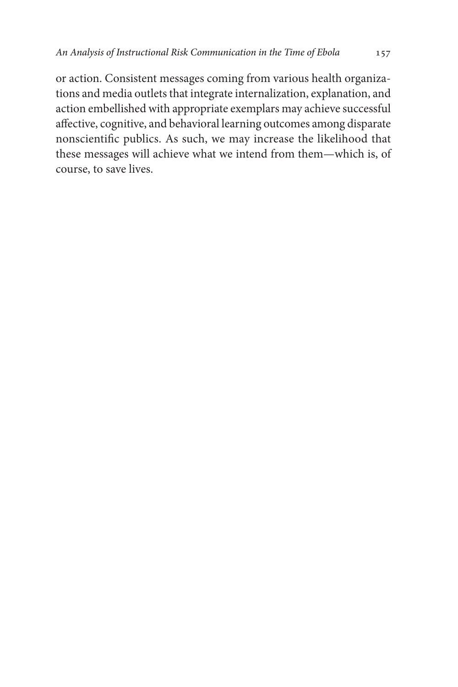or action. Consistent messages coming from various health organizations and media outlets that integrate internalization, explanation, and action embellished with appropriate exemplars may achieve successful affective, cognitive, and behavioral learning outcomes among disparate nonscientific publics. As such, we may increase the likelihood that these messages will achieve what we intend from them—which is, of course, to save lives.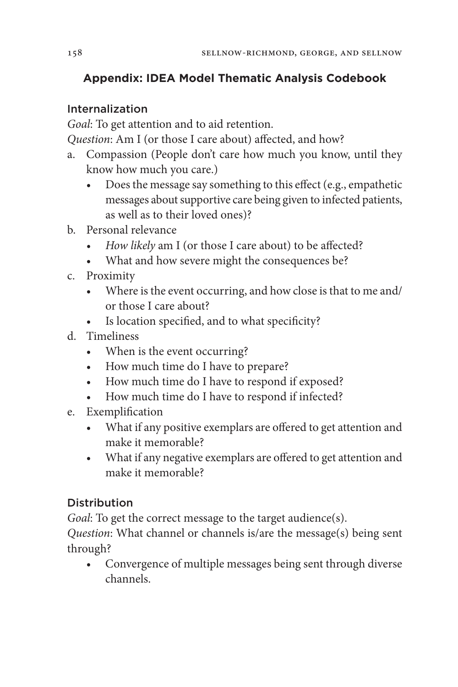## **Appendix: IDEA Model Thematic Analysis Codebook**

## Internalization

*Goal*: To get attention and to aid retention.

*Question*: Am I (or those I care about) affected, and how?

- a. Compassion (People don't care how much you know, until they know how much you care.)
	- Does the message say something to this effect (e.g., empathetic messages about supportive care being given to infected patients, as well as to their loved ones)?
- b. Personal relevance
	- *• How likely* am I (or those I care about) to be affected?
	- What and how severe might the consequences be?
- c. Proximity
	- Where is the event occurring, and how close is that to me and/ or those I care about?
	- Is location specified, and to what specificity?
- d. Timeliness
	- When is the event occurring?
	- How much time do I have to prepare?
	- How much time do I have to respond if exposed?
	- How much time do I have to respond if infected?
- e. Exemplification
	- What if any positive exemplars are offered to get attention and make it memorable?
	- What if any negative exemplars are offered to get attention and make it memorable?

## **Distribution**

*Goal*: To get the correct message to the target audience(s).

*Question*: What channel or channels is/are the message(s) being sent through?

• Convergence of multiple messages being sent through diverse channels.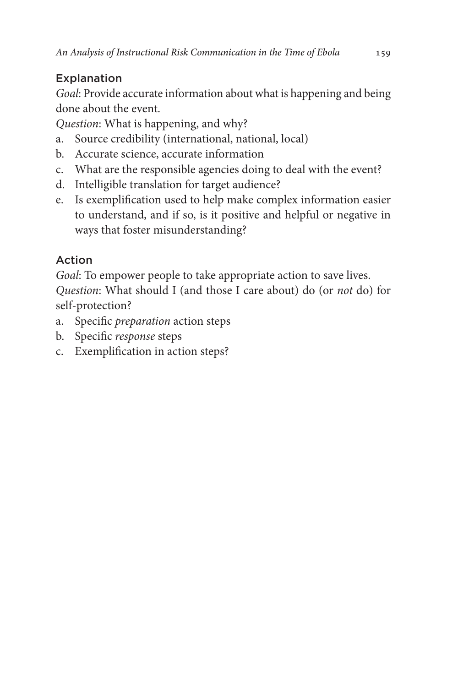# Explanation

*Goal*: Provide accurate information about what is happening and being done about the event.

*Question*: What is happening, and why?

- a. Source credibility (international, national, local)
- b. Accurate science, accurate information
- c. What are the responsible agencies doing to deal with the event?
- d. Intelligible translation for target audience?
- e. Is exemplification used to help make complex information easier to understand, and if so, is it positive and helpful or negative in ways that foster misunderstanding?

# Action

*Goal*: To empower people to take appropriate action to save lives. *Question*: What should I (and those I care about) do (or *not* do) for self-protection?

- a. Specific *preparation* action steps
- b. Specific *response* steps
- c. Exemplification in action steps?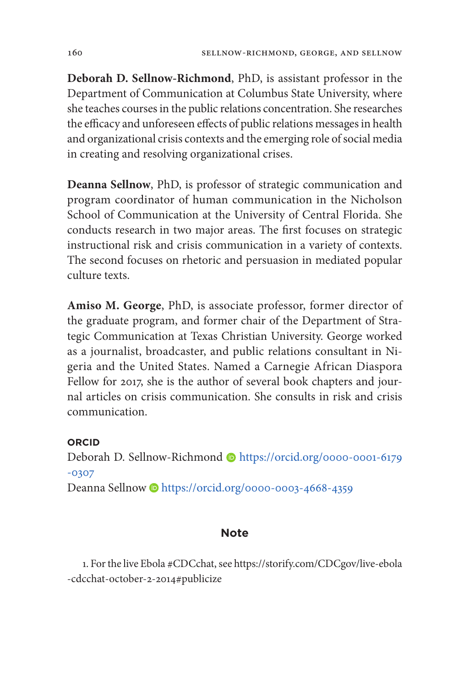**Deborah D. Sellnow-Richmond**, PhD, is assistant professor in the Department of Communication at Columbus State University, where she teaches courses in the public relations concentration. She researches the efficacy and unforeseen effects of public relations messages in health and organizational crisis contexts and the emerging role of social media in creating and resolving organizational crises.

**Deanna Sellnow**, PhD, is professor of strategic communication and program coordinator of human communication in the Nicholson School of Communication at the University of Central Florida. She conducts research in two major areas. The first focuses on strategic instructional risk and crisis communication in a variety of contexts. The second focuses on rhetoric and persuasion in mediated popular culture texts.

**Amiso M. George**, PhD, is associate professor, former director of the graduate program, and former chair of the Department of Strategic Communication at Texas Christian University. George worked as a journalist, broadcaster, and public relations consultant in Nigeria and the United States. Named a Carnegie African Diaspora Fellow for 2017, she is the author of several book chapters and journal articles on crisis communication. She consults in risk and crisis communication.

## **ORCID**

Deborah D. Sellnow-Richmond Dhttps://orcid.org/0000-0001-6179 [-0307](https://orcid.org/0000-0001-6179-0307) Deanna Sellnow Dhttps://orcid.org/0000-0003-4668-4359

## **Note**

1. For the live Ebola #CDCchat, see https://storify.com/CDCgov/live-ebola -cdcchat-october-2-2014#publicize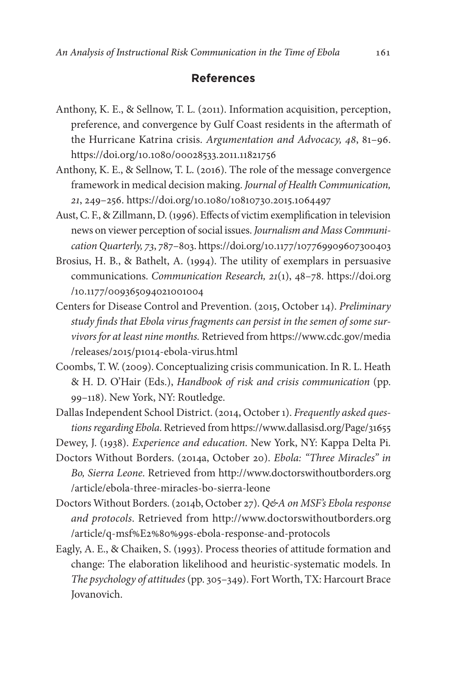#### **References**

- Anthony, K. E., & Sellnow, T. L. (2011). Information acquisition, perception, preference, and convergence by Gulf Coast residents in the aftermath of the Hurricane Katrina crisis. *Argumentation and Advocacy, 48*, 81–96. https://doi.org/10.1080/00028533.2011.11821756
- Anthony, K. E., & Sellnow, T. L. (2016). The role of the message convergence framework in medical decision making. *Journal of Health Communication, 21*, 249–256. https://doi.org/10.1080/10810730.2015.1064497
- Aust, C. F., & Zillmann, D. (1996). Effects of victim exemplification in television news on viewer perception of social issues. *Journalism and Mass Communication Quarterly, 73*, 787–803. https://doi.org/10.1177/107769909607300403
- Brosius, H. B., & Bathelt, A. (1994). The utility of exemplars in persuasive communications. *Communication Research, 21*(1), 48–78. [https://doi.org](https://doi.org/10.1177/009365094021001004) [/10.1177/009365094021001004](https://doi.org/10.1177/009365094021001004)
- Centers for Disease Control and Prevention. (2015, October 14). *Preliminary study finds that Ebola virus fragments can persist in the semen of some survivors for at least nine months.* Retrieved from https://www.cdc.gov/media /releases/2015/p1014-ebola-virus.html
- Coombs, T. W. (2009). Conceptualizing crisis communication. In R. L. Heath & H. D. O'Hair (Eds.), *Handbook of risk and crisis communication* (pp. 99–118). New York, NY: Routledge.
- Dallas Independent School District. (2014, October 1). *Frequently asked questions regarding Ebola*. Retrieved from https://www.dallasisd.org/Page/31655

Dewey, J. (1938). *Experience and education*. New York, NY: Kappa Delta Pi.

- Doctors Without Borders. (2014a, October 20). *Ebola: "Three Miracles" in Bo, Sierra Leone*. Retrieved from http://www.doctorswithoutborders.org /article/ebola-three-miracles-bo-sierra-leone
- Doctors Without Borders. (2014b, October 27). *Q&A on MSF's Ebola response and protocols*. Retrieved from http://www.doctorswithoutborders.org /article/q-msf%E2%80%99s-ebola-response-and-protocols
- Eagly, A. E., & Chaiken, S. (1993). Process theories of attitude formation and change: The elaboration likelihood and heuristic-systematic models. In *The psychology of attitudes* (pp. 305–349). Fort Worth, TX: Harcourt Brace Jovanovich.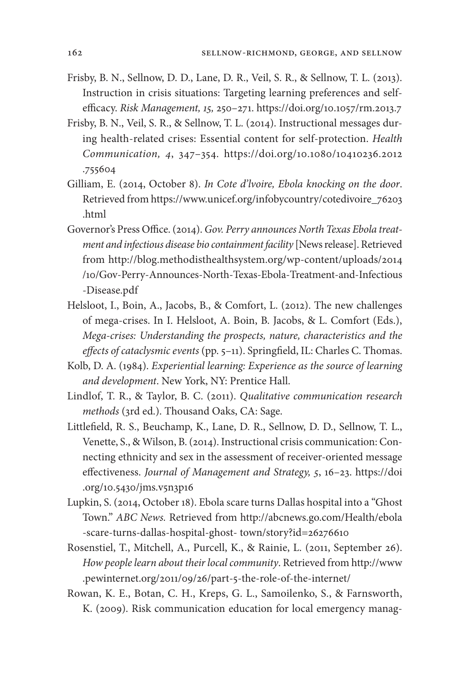- Frisby, B. N., Sellnow, D. D., Lane, D. R., Veil, S. R., & Sellnow, T. L. (2013). Instruction in crisis situations: Targeting learning preferences and selfefficacy. *Risk Management, 15,* 250–271. https://doi.org/10.1057/rm.2013.7
- Frisby, B. N., Veil, S. R., & Sellnow, T. L. (2014). Instructional messages during health-related crises: Essential content for self-protection. *Health Communication, 4*, 347–354. [https://doi.org/10.1080/10410236.2012](https://doi.org/10.1080/10410236.2012.755604) [.755604](https://doi.org/10.1080/10410236.2012.755604)
- Gilliam, E. (2014, October 8). *In Cote d'lvoire, Ebola knocking on the door*. Retrieved from https://www.unicef.org/infobycountry/cotedivoire\_76203 .html
- Governor's Press Office. (2014). *Gov. Perry announces North Texas Ebola treatment and infectious disease bio containment facility* [News release]. Retrieved from http://blog.methodisthealthsystem.org/wp-content/uploads/2014 /10/Gov-Perry-Announces-North-Texas-Ebola-Treatment-and-Infectious -Disease.pdf
- Helsloot, I., Boin, A., Jacobs, B., & Comfort, L. (2012). The new challenges of mega-crises. In I. Helsloot, A. Boin, B. Jacobs, & L. Comfort (Eds.), *Mega-crises: Understanding the prospects, nature, characteristics and the effects of cataclysmic events* (pp. 5–11). Springfield, IL: Charles C. Thomas.
- Kolb, D. A. (1984). *Experiential learning: Experience as the source of learning and development*. New York, NY: Prentice Hall.
- Lindlof, T. R., & Taylor, B. C. (2011). *Qualitative communication research methods* (3rd ed.). Thousand Oaks, CA: Sage.
- Littlefield, R. S., Beuchamp, K., Lane, D. R., Sellnow, D. D., Sellnow, T. L., Venette, S., & Wilson, B. (2014). Instructional crisis communication: Connecting ethnicity and sex in the assessment of receiver-oriented message effectiveness. *Journal of Management and Strategy, 5*, 16–23. [https://doi](https://doi.org/10.5430/jms.v5n3p16) [.org/10.5430/jms.v5n3p16](https://doi.org/10.5430/jms.v5n3p16)
- Lupkin, S. (2014, October 18). Ebola scare turns Dallas hospital into a "Ghost Town." *ABC News.* Retrieved from http://abcnews.go.com/Health/ebola -scare-turns-dallas-hospital-ghost- town/story?id=26276610
- Rosenstiel, T., Mitchell, A., Purcell, K., & Rainie, L. (2011, September 26). *How people learn about their local community*. Retrieved from http://www .pewinternet.org/2011/09/26/part-5-the-role-of-the-internet/
- Rowan, K. E., Botan, C. H., Kreps, G. L., Samoilenko, S., & Farnsworth, K. (2009). Risk communication education for local emergency manag-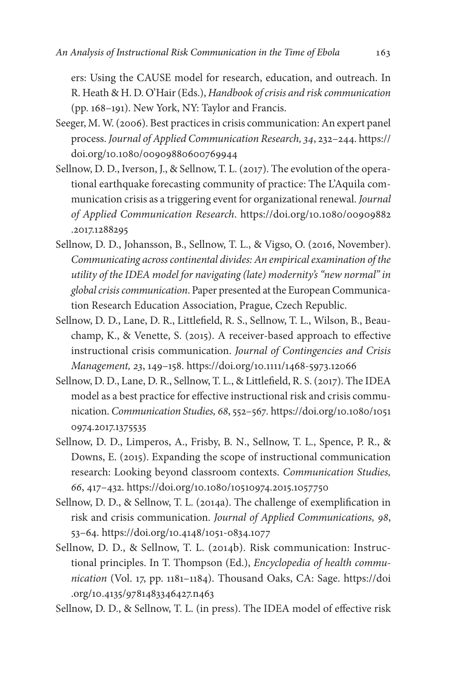ers: Using the CAUSE model for research, education, and outreach. In R. Heath & H. D. O'Hair (Eds.), *Handbook of crisis and risk communication* (pp. 168–191). New York, NY: Taylor and Francis.

- Seeger, M. W. (2006). Best practices in crisis communication: An expert panel process. *Journal of Applied Communication Research, 34*, 232–244. https:// doi.org/10.1080/00909880600769944
- Sellnow, D. D., Iverson, J., & Sellnow, T. L. (2017). The evolution of the operational earthquake forecasting community of practice: The L'Aquila communication crisis as a triggering event for organizational renewal. *Journal of Applied Communication Research*. [https://doi.org/10.1080/00909882](https://doi.org/10.1080/00909882.2017.1288295) [.2017.1288295](https://doi.org/10.1080/00909882.2017.1288295)
- Sellnow, D. D., Johansson, B., Sellnow, T. L., & Vigso, O. (2016, November). *Communicating across continental divides: An empirical examination of the utility of the IDEA model for navigating (late) modernity's "new normal" in global crisis communication*. Paper presented at the European Communication Research Education Association, Prague, Czech Republic.
- Sellnow, D. D., Lane, D. R., Littlefield, R. S., Sellnow, T. L., Wilson, B., Beauchamp, K., & Venette, S. (2015). A receiver-based approach to effective instructional crisis communication. *Journal of Contingencies and Crisis Management, 23*, 149–158. https://doi.org/10.1111/1468-5973.12066
- Sellnow, D. D., Lane, D. R., Sellnow, T. L., & Littlefield, R. S. (2017). The IDEA model as a best practice for effective instructional risk and crisis communication. *Communication Studies, 68*, 552–567*.* [https://doi.org/10.1080/1051](https://doi.org/10.1080/10510974.2017.1375535) [0974.2017.1375535](https://doi.org/10.1080/10510974.2017.1375535)
- Sellnow, D. D., Limperos, A., Frisby, B. N., Sellnow, T. L., Spence, P. R., & Downs, E. (2015). Expanding the scope of instructional communication research: Looking beyond classroom contexts. *Communication Studies, 66*, 417–432. https://doi.org/10.1080/10510974.2015.1057750
- Sellnow, D. D., & Sellnow, T. L. (2014a). The challenge of exemplification in risk and crisis communication. *Journal of Applied Communications, 98*, 53–64. https://doi.org/10.4148/1051-0834.1077
- Sellnow, D. D., & Sellnow, T. L. (2014b). Risk communication: Instructional principles. In T. Thompson (Ed.), *Encyclopedia of health communication* (Vol. 17, pp. 1181–1184). Thousand Oaks, CA: Sage. [https://doi](https://doi.org/10.4135/9781483346427.n463) [.org/10.4135/9781483346427.n463](https://doi.org/10.4135/9781483346427.n463)

Sellnow, D. D., & Sellnow, T. L. (in press). The IDEA model of effective risk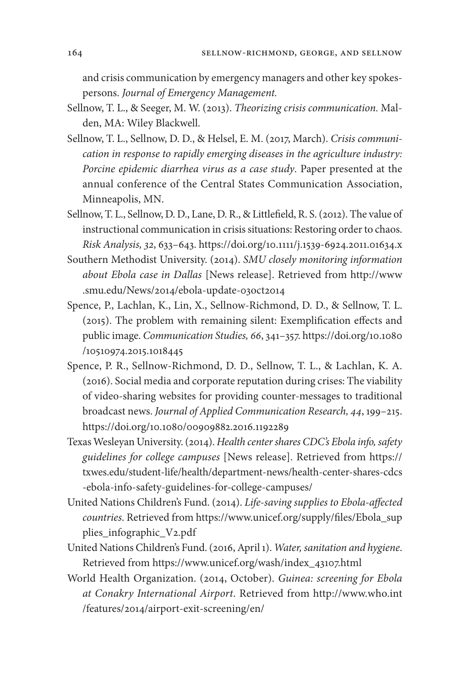and crisis communication by emergency managers and other key spokespersons. *Journal of Emergency Management.*

- Sellnow, T. L., & Seeger, M. W. (2013). *Theorizing crisis communication.* Malden, MA: Wiley Blackwell.
- Sellnow, T. L., Sellnow, D. D., & Helsel, E. M. (2017, March). *Crisis communication in response to rapidly emerging diseases in the agriculture industry: Porcine epidemic diarrhea virus as a case study*. Paper presented at the annual conference of the Central States Communication Association, Minneapolis, MN.
- Sellnow, T. L., Sellnow, D. D., Lane, D. R., & Littlefield, R. S. (2012). The value of instructional communication in crisis situations: Restoring order to chaos. *Risk Analysis, 32*, 633–643. https://doi.org/10.1111/j.1539-6924.2011.01634.x
- Southern Methodist University. (2014). *SMU closely monitoring information about Ebola case in Dallas* [News release]. Retrieved from http://www .smu.edu/News/2014/ebola-update-03oct2014
- Spence, P., Lachlan, K., Lin, X., Sellnow-Richmond, D. D., & Sellnow, T. L. (2015). The problem with remaining silent: Exemplification effects and public image. *Communication Studies, 66*, 341–357. [https://doi.org/10.1080](https://doi.org/10.1080/10510974.2015.1018445) [/10510974.2015.1018445](https://doi.org/10.1080/10510974.2015.1018445)
- Spence, P. R., Sellnow-Richmond, D. D., Sellnow, T. L., & Lachlan, K. A. (2016). Social media and corporate reputation during crises: The viability of video-sharing websites for providing counter-messages to traditional broadcast news. *Journal of Applied Communication Research, 44*, 199–215. https://doi.org/10.1080/00909882.2016.1192289
- Texas Wesleyan University. (2014). *Health center shares CDC's Ebola info, safety guidelines for college campuses* [News release]. Retrieved from https:// txwes.edu/student-life/health/department-news/health-center-shares-cdcs -ebola-info-safety-guidelines-for-college-campuses/
- United Nations Children's Fund. (2014). *Life-saving supplies to Ebola-affected countries*. Retrieved from https://www.unicef.org/supply/files/Ebola\_sup plies\_infographic\_V2.pdf
- United Nations Children's Fund. (2016, April 1). *Water, sanitation and hygiene*. Retrieved from https://www.unicef.org/wash/index\_43107.html
- World Health Organization. (2014, October). *Guinea: screening for Ebola at Conakry International Airport*. Retrieved from http://www.who.int /features/2014/airport-exit-screening/en/